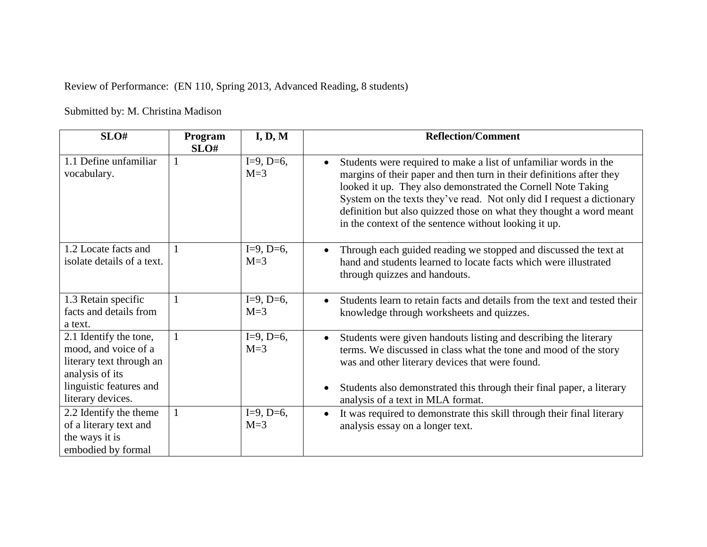Review of Performance: (EN 110, Spring 2013, Advanced Reading, 8 students)

Submitted by: M. Christina Madison

| SLO#                                                                                                                                          | Program      | I, D, M                | <b>Reflection/Comment</b>                                                                                                                                                                                                                                                                                                                                                                                         |
|-----------------------------------------------------------------------------------------------------------------------------------------------|--------------|------------------------|-------------------------------------------------------------------------------------------------------------------------------------------------------------------------------------------------------------------------------------------------------------------------------------------------------------------------------------------------------------------------------------------------------------------|
| 1.1 Define unfamiliar<br>vocabulary.                                                                                                          | SLO#<br>-1   | $I=9, D=6,$<br>$M=3$   | Students were required to make a list of unfamiliar words in the<br>margins of their paper and then turn in their definitions after they<br>looked it up. They also demonstrated the Cornell Note Taking<br>System on the texts they've read. Not only did I request a dictionary<br>definition but also quizzed those on what they thought a word meant<br>in the context of the sentence without looking it up. |
| 1.2 Locate facts and<br>isolate details of a text.                                                                                            | 1            | $I=9, D=6,$<br>$M=3$   | Through each guided reading we stopped and discussed the text at<br>hand and students learned to locate facts which were illustrated<br>through quizzes and handouts.                                                                                                                                                                                                                                             |
| 1.3 Retain specific<br>facts and details from<br>a text.                                                                                      |              | $I=9, D=6,$<br>$M = 3$ | Students learn to retain facts and details from the text and tested their<br>knowledge through worksheets and quizzes.                                                                                                                                                                                                                                                                                            |
| 2.1 Identify the tone,<br>mood, and voice of a<br>literary text through an<br>analysis of its<br>linguistic features and<br>literary devices. | 1            | $I=9, D=6,$<br>$M=3$   | Students were given handouts listing and describing the literary<br>terms. We discussed in class what the tone and mood of the story<br>was and other literary devices that were found.<br>Students also demonstrated this through their final paper, a literary<br>analysis of a text in MLA format.                                                                                                             |
| 2.2 Identify the theme<br>of a literary text and<br>the ways it is<br>embodied by formal                                                      | $\mathbf{1}$ | $I=9, D=6,$<br>$M=3$   | It was required to demonstrate this skill through their final literary<br>analysis essay on a longer text.                                                                                                                                                                                                                                                                                                        |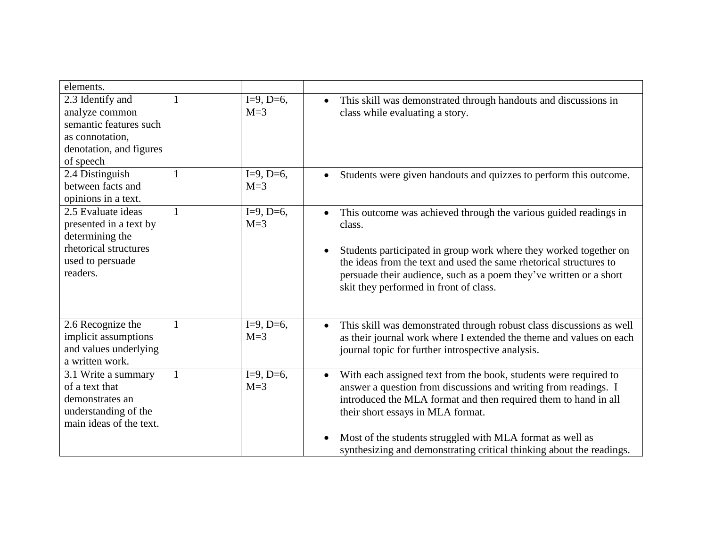| elements.                                                                                                                |              |                      |                                                                                                                                                                                                                                                                                                                                                                                               |
|--------------------------------------------------------------------------------------------------------------------------|--------------|----------------------|-----------------------------------------------------------------------------------------------------------------------------------------------------------------------------------------------------------------------------------------------------------------------------------------------------------------------------------------------------------------------------------------------|
| 2.3 Identify and<br>analyze common<br>semantic features such<br>as connotation,<br>denotation, and figures<br>of speech  | 1            | $I=9, D=6,$<br>$M=3$ | This skill was demonstrated through handouts and discussions in<br>$\bullet$<br>class while evaluating a story.                                                                                                                                                                                                                                                                               |
| 2.4 Distinguish<br>between facts and<br>opinions in a text.                                                              | $\mathbf{1}$ | $I=9, D=6,$<br>$M=3$ | Students were given handouts and quizzes to perform this outcome.                                                                                                                                                                                                                                                                                                                             |
| 2.5 Evaluate ideas<br>presented in a text by<br>determining the<br>rhetorical structures<br>used to persuade<br>readers. | $\mathbf{1}$ | $I=9, D=6,$<br>$M=3$ | This outcome was achieved through the various guided readings in<br>$\bullet$<br>class.<br>Students participated in group work where they worked together on<br>the ideas from the text and used the same rhetorical structures to<br>persuade their audience, such as a poem they've written or a short<br>skit they performed in front of class.                                            |
| 2.6 Recognize the<br>implicit assumptions<br>and values underlying<br>a written work.                                    | 1            | $I=9, D=6,$<br>$M=3$ | This skill was demonstrated through robust class discussions as well<br>$\bullet$<br>as their journal work where I extended the theme and values on each<br>journal topic for further introspective analysis.                                                                                                                                                                                 |
| 3.1 Write a summary<br>of a text that<br>demonstrates an<br>understanding of the<br>main ideas of the text.              | $\mathbf{1}$ | $I=9, D=6,$<br>$M=3$ | With each assigned text from the book, students were required to<br>$\bullet$<br>answer a question from discussions and writing from readings. I<br>introduced the MLA format and then required them to hand in all<br>their short essays in MLA format.<br>Most of the students struggled with MLA format as well as<br>synthesizing and demonstrating critical thinking about the readings. |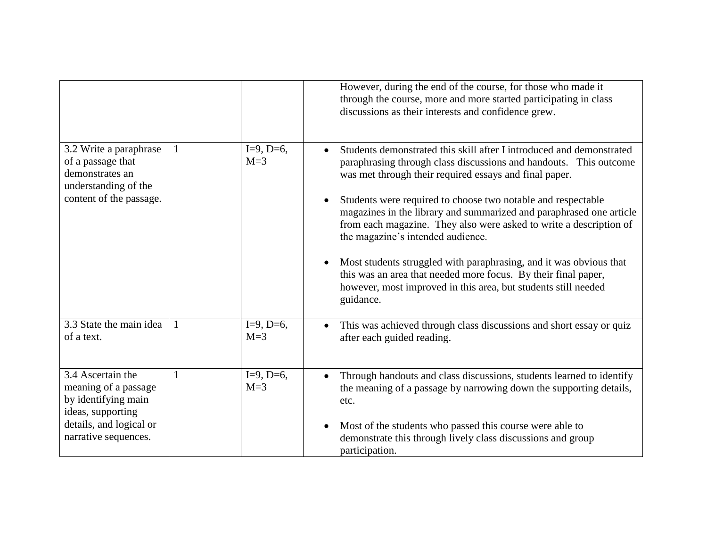|                                                                                                                                          |   |                      | However, during the end of the course, for those who made it<br>through the course, more and more started participating in class<br>discussions as their interests and confidence grew.                                                                                                                                                                                                                                                                                                                                                                                                                                                                                      |
|------------------------------------------------------------------------------------------------------------------------------------------|---|----------------------|------------------------------------------------------------------------------------------------------------------------------------------------------------------------------------------------------------------------------------------------------------------------------------------------------------------------------------------------------------------------------------------------------------------------------------------------------------------------------------------------------------------------------------------------------------------------------------------------------------------------------------------------------------------------------|
| 3.2 Write a paraphrase<br>of a passage that<br>demonstrates an<br>understanding of the<br>content of the passage.                        |   | $I=9, D=6,$<br>$M=3$ | Students demonstrated this skill after I introduced and demonstrated<br>paraphrasing through class discussions and handouts. This outcome<br>was met through their required essays and final paper.<br>Students were required to choose two notable and respectable<br>magazines in the library and summarized and paraphrased one article<br>from each magazine. They also were asked to write a description of<br>the magazine's intended audience.<br>Most students struggled with paraphrasing, and it was obvious that<br>this was an area that needed more focus. By their final paper,<br>however, most improved in this area, but students still needed<br>guidance. |
| 3.3 State the main idea<br>of a text.                                                                                                    | 1 | $I=9, D=6,$<br>$M=3$ | This was achieved through class discussions and short essay or quiz<br>$\bullet$<br>after each guided reading.                                                                                                                                                                                                                                                                                                                                                                                                                                                                                                                                                               |
| 3.4 Ascertain the<br>meaning of a passage<br>by identifying main<br>ideas, supporting<br>details, and logical or<br>narrative sequences. |   | $I=9, D=6,$<br>$M=3$ | Through handouts and class discussions, students learned to identify<br>$\bullet$<br>the meaning of a passage by narrowing down the supporting details,<br>etc.<br>Most of the students who passed this course were able to<br>demonstrate this through lively class discussions and group<br>participation.                                                                                                                                                                                                                                                                                                                                                                 |